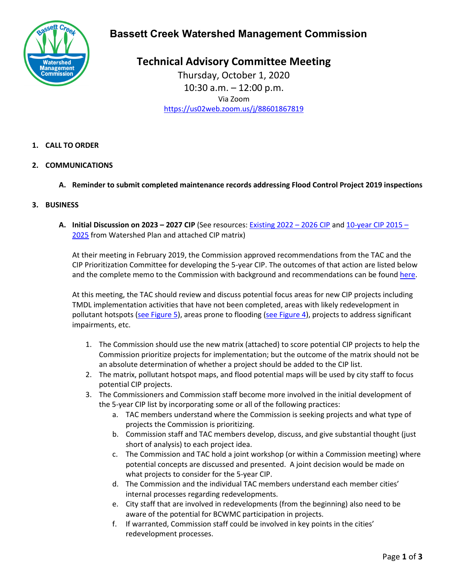

## **Bassett Creek Watershed Management Commission**

**Technical Advisory Committee Meeting** Thursday, October 1, 2020 10:30 a.m. – 12:00 p.m. Via Zoom <https://us02web.zoom.us/j/88601867819>

- **1. CALL TO ORDER**
- **2. COMMUNICATIONS**
	- **A. Reminder to submit completed maintenance records addressing Flood Control Project 2019 inspections**
- **3. BUSINESS**
	- **A. Initial Discussion on 2023 – 2027 CIP** (See resources: [Existing 2022 –](https://www.bassettcreekwmo.org/application/files/9715/9811/1216/Final_2022-2026_CIP_List__Fact_Sheets.pdf) 2026 CIP and [10-year CIP 2015 –](https://www.bassettcreekwmo.org/application/files/9616/0079/2044/Table_5-3_Revised_Aug_2020.pdf) [2025](https://www.bassettcreekwmo.org/application/files/9616/0079/2044/Table_5-3_Revised_Aug_2020.pdf) from Watershed Plan and attached CIP matrix)

At their meeting in February 2019, the Commission approved recommendations from the TAC and the CIP Prioritization Committee for developing the 5-year CIP. The outcomes of that action are listed below and the complete memo to the Commission with background and recommendations can be found [here.](https://www.bassettcreekwmo.org/application/files/1915/5009/6058/Item_6E_CIP_and_TAC_recommendations.pdf)

At this meeting, the TAC should review and discuss potential focus areas for new CIP projects including TMDL implementation activities that have not been completed, areas with likely redevelopment in pollutant hotspots [\(see Figure 5\)](https://www.bassettcreekwmo.org/application/files/6415/3252/9220/BCWMC_CIP_Prioritization_Maps_07242018_small_file.pdf), areas prone to flooding [\(see Figure 4\)](https://www.bassettcreekwmo.org/application/files/6415/3252/9220/BCWMC_CIP_Prioritization_Maps_07242018_small_file.pdf), projects to address significant impairments, etc.

- 1. The Commission should use the new matrix (attached) to score potential CIP projects to help the Commission prioritize projects for implementation; but the outcome of the matrix should not be an absolute determination of whether a project should be added to the CIP list.
- 2. The matrix, pollutant hotspot maps, and flood potential maps will be used by city staff to focus potential CIP projects.
- 3. The Commissioners and Commission staff become more involved in the initial development of the 5-year CIP list by incorporating some or all of the following practices:
	- a. TAC members understand where the Commission is seeking projects and what type of projects the Commission is prioritizing.
	- b. Commission staff and TAC members develop, discuss, and give substantial thought (just short of analysis) to each project idea.
	- c. The Commission and TAC hold a joint workshop (or within a Commission meeting) where potential concepts are discussed and presented. A joint decision would be made on what projects to consider for the 5-year CIP.
	- d. The Commission and the individual TAC members understand each member cities' internal processes regarding redevelopments.
	- e. City staff that are involved in redevelopments (from the beginning) also need to be aware of the potential for BCWMC participation in projects.
	- f. If warranted, Commission staff could be involved in key points in the cities' redevelopment processes.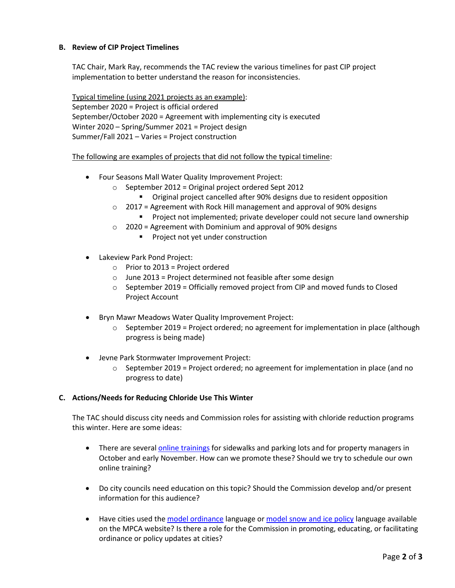### **B. Review of CIP Project Timelines**

TAC Chair, Mark Ray, recommends the TAC review the various timelines for past CIP project implementation to better understand the reason for inconsistencies.

Typical timeline (using 2021 projects as an example): September 2020 = Project is official ordered September/October 2020 = Agreement with implementing city is executed Winter 2020 – Spring/Summer 2021 = Project design Summer/Fall 2021 – Varies = Project construction

The following are examples of projects that did not follow the typical timeline:

- Four Seasons Mall Water Quality Improvement Project:
	- o September 2012 = Original project ordered Sept 2012
		- Original project cancelled after 90% designs due to resident opposition
	- $\circ$  2017 = Agreement with Rock Hill management and approval of 90% designs
		- **Project not implemented; private developer could not secure land ownership**
	- $\circ$  2020 = Agreement with Dominium and approval of 90% designs
		- **Project not yet under construction**
- Lakeview Park Pond Project:
	- $\circ$  Prior to 2013 = Project ordered
	- $\circ$  June 2013 = Project determined not feasible after some design
	- $\circ$  September 2019 = Officially removed project from CIP and moved funds to Closed Project Account
- Bryn Mawr Meadows Water Quality Improvement Project:
	- $\circ$  September 2019 = Project ordered; no agreement for implementation in place (although progress is being made)
- Jevne Park Stormwater Improvement Project:
	- $\circ$  September 2019 = Project ordered; no agreement for implementation in place (and no progress to date)

#### **C. Actions/Needs for Reducing Chloride Use This Winter**

The TAC should discuss city needs and Commission roles for assisting with chloride reduction programs this winter. Here are some ideas:

- There are several [online trainings](https://www.pca.state.mn.us/water/smart-salting-training-calendar/2020-10) for sidewalks and parking lots and for property managers in October and early November. How can we promote these? Should we try to schedule our own online training?
- Do city councils need education on this topic? Should the Commission develop and/or present information for this audience?
- Have cities used the [model ordinance](https://www.pca.state.mn.us/sites/default/files/p-tr1-54.pdf) language o[r model snow and ice policy](https://www.pca.state.mn.us/water/statewide-chloride-resources) language available on the MPCA website? Is there a role for the Commission in promoting, educating, or facilitating ordinance or policy updates at cities?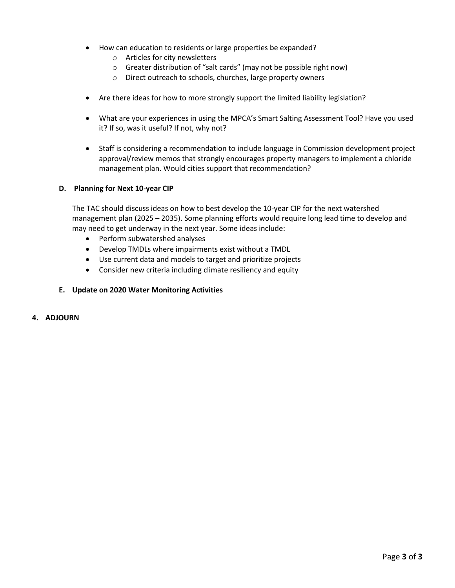- How can education to residents or large properties be expanded?
	- o Articles for city newsletters
	- o Greater distribution of "salt cards" (may not be possible right now)
	- o Direct outreach to schools, churches, large property owners
- Are there ideas for how to more strongly support the limited liability legislation?
- What are your experiences in using the MPCA's Smart Salting Assessment Tool? Have you used it? If so, was it useful? If not, why not?
- Staff is considering a recommendation to include language in Commission development project approval/review memos that strongly encourages property managers to implement a chloride management plan. Would cities support that recommendation?

#### **D. Planning for Next 10-year CIP**

The TAC should discuss ideas on how to best develop the 10-year CIP for the next watershed management plan (2025 – 2035). Some planning efforts would require long lead time to develop and may need to get underway in the next year. Some ideas include:

- Perform subwatershed analyses
- Develop TMDLs where impairments exist without a TMDL
- Use current data and models to target and prioritize projects
- Consider new criteria including climate resiliency and equity

#### **E. Update on 2020 Water Monitoring Activities**

#### **4. ADJOURN**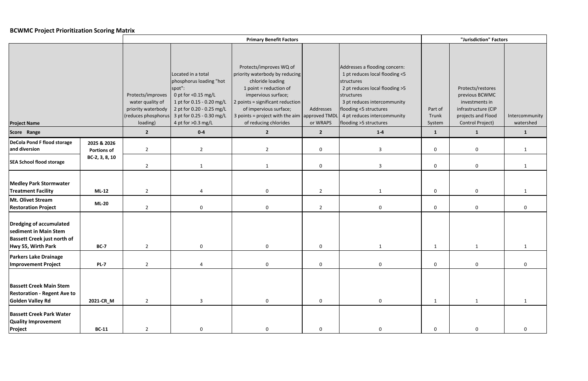### **BCWMC Project Prioritization Scoring Matrix**

|                                                                                                              |                                   |                                                                                                 |                                                                                                                                                                                             | "Jurisdiction" Factors                                                                                                                                                                                                                                                         |                       |                                                                                                                                                                                                                                                 |                            |                                                                                                                        |                             |
|--------------------------------------------------------------------------------------------------------------|-----------------------------------|-------------------------------------------------------------------------------------------------|---------------------------------------------------------------------------------------------------------------------------------------------------------------------------------------------|--------------------------------------------------------------------------------------------------------------------------------------------------------------------------------------------------------------------------------------------------------------------------------|-----------------------|-------------------------------------------------------------------------------------------------------------------------------------------------------------------------------------------------------------------------------------------------|----------------------------|------------------------------------------------------------------------------------------------------------------------|-----------------------------|
| <b>Project Name</b>                                                                                          |                                   | Protects/improves<br>water quality of<br>priority waterbody<br>(reduces phosphorus)<br>loading) | Located in a total<br>phosphorus loading "hot<br>spot":<br>0 pt for <0.15 mg/L<br>1 pt for 0.15 - 0.20 mg/L<br>2 pt for 0.20 - 0.25 mg/L<br>3 pt for 0.25 - 0.30 mg/L<br>4 pt for >0.3 mg/L | Protects/improves WQ of<br>priority waterbody by reducing<br>chloride loading<br>1 point = reduction of<br>impervious surface;<br>2 points = significant reduction<br>of impervious surface;<br>3 points = project with the aim $\vert$ approved TMDL<br>of reducing chlorides | Addresses<br>or WRAPS | Addresses a flooding concern:<br>1 pt reduces local flooding <5<br>structures<br>2 pt reduces local flooding >5<br>structures<br>3 pt reduces intercommunity<br>flooding <5 structures<br>4 pt reduces intercommunity<br>flooding >5 structures | Part of<br>Trunk<br>System | Protects/restores<br>previous BCWMC<br>investments in<br>infrastructure (CIP<br>projects and Flood<br>Control Project) | Intercommunity<br>watershed |
| Score Range                                                                                                  |                                   | $\overline{2}$                                                                                  | $0-4$                                                                                                                                                                                       | $\overline{2}$                                                                                                                                                                                                                                                                 | $\overline{2}$        | $1-4$                                                                                                                                                                                                                                           | $\mathbf{1}$               | $\mathbf{1}$                                                                                                           | $\mathbf{1}$                |
| DeCola Pond F flood storage<br>and diversion                                                                 | 2025 & 2026<br><b>Portions of</b> | $\overline{2}$                                                                                  | $\overline{2}$                                                                                                                                                                              | $\overline{2}$                                                                                                                                                                                                                                                                 | $\mathbf 0$           | $\overline{3}$                                                                                                                                                                                                                                  | $\mathbf 0$                | $\mathbf 0$                                                                                                            |                             |
| <b>SEA School flood storage</b>                                                                              | BC-2, 3, 8, 10                    | $\overline{2}$                                                                                  | $\mathbf{1}$                                                                                                                                                                                | 1                                                                                                                                                                                                                                                                              | $\mathbf 0$           | $\overline{3}$                                                                                                                                                                                                                                  | $\mathbf 0$                | 0                                                                                                                      | $\mathbf{1}$                |
| <b>Medley Park Stormwater</b><br><b>Treatment Facility</b>                                                   | $ML-12$                           | $\overline{2}$                                                                                  | 4                                                                                                                                                                                           | $\mathbf 0$                                                                                                                                                                                                                                                                    | $\overline{2}$        | $\mathbf{1}$                                                                                                                                                                                                                                    | $\mathbf 0$                | $\mathbf 0$                                                                                                            |                             |
| Mt. Olivet Stream<br><b>Restoration Project</b>                                                              | <b>ML-20</b>                      | $\overline{2}$                                                                                  | $\mathbf 0$                                                                                                                                                                                 | $\mathbf 0$                                                                                                                                                                                                                                                                    | $\overline{2}$        | $\overline{0}$                                                                                                                                                                                                                                  | $\mathbf 0$                | $\mathbf 0$                                                                                                            | $\Omega$                    |
| Dredging of accumulated<br>sediment in Main Stem<br><b>Bassett Creek just north of</b><br>Hwy 55, Wirth Park | <b>BC-7</b>                       | $\overline{2}$                                                                                  | 0                                                                                                                                                                                           | 0                                                                                                                                                                                                                                                                              | 0                     | 1                                                                                                                                                                                                                                               | 1                          | 1                                                                                                                      |                             |
| <b>Parkers Lake Drainage</b><br><b>Improvement Project</b>                                                   | <b>PL-7</b>                       | $\overline{2}$                                                                                  | 4                                                                                                                                                                                           | $\mathbf 0$                                                                                                                                                                                                                                                                    | $\mathbf 0$           | $\mathbf 0$                                                                                                                                                                                                                                     | $\mathbf 0$                | $\mathbf 0$                                                                                                            | $\mathbf 0$                 |
| <b>Bassett Creek Main Stem</b><br><b>Restoration - Regent Ave to</b><br><b>Golden Valley Rd</b>              | 2021-CR_M                         | $\overline{2}$                                                                                  | $\overline{3}$                                                                                                                                                                              | $\mathbf 0$                                                                                                                                                                                                                                                                    | $\mathbf 0$           | $\mathbf 0$                                                                                                                                                                                                                                     | 1                          | $\mathbf{1}$                                                                                                           | 1                           |
| <b>Bassett Creek Park Water</b><br><b>Quality Improvement</b><br>Project                                     | <b>BC-11</b>                      | $\overline{2}$                                                                                  | $\mathbf 0$                                                                                                                                                                                 | $\mathbf 0$                                                                                                                                                                                                                                                                    | $\mathbf 0$           | $\mathbf 0$                                                                                                                                                                                                                                     | $\mathbf 0$                | $\mathbf 0$                                                                                                            |                             |